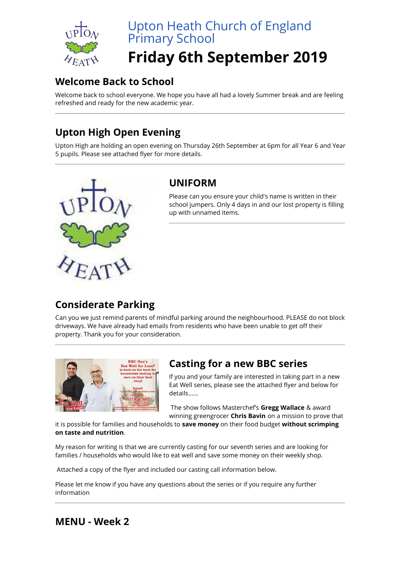

# Upton Heath Church of England Primary School

## **Friday 6th September 2019**

### **Welcome Back to School**

Welcome back to school everyone. We hope you have all had a lovely Summer break and are feeling refreshed and ready for the new academic year.

## **Upton High Open Evening**

Upton High are holding an open evening on Thursday 26th September at 6pm for all Year 6 and Year 5 pupils. Please see attached flyer for more details.



#### **UNIFORM**

Please can you ensure your child's name is written in their school jumpers. Only 4 days in and our lost property is filling up with unnamed items.

## **Considerate Parking**

Can you we just remind parents of mindful parking around the neighbourhood. PLEASE do not block driveways. We have already had emails from residents who have been unable to get off their property. Thank you for your consideration.



#### **Casting for a new BBC series**

If you and your family are interested in taking part in a new Eat Well series, please see the attached flyer and below for details......

The show follows Masterchef's **Gregg Wallace** & award winning greengrocer **Chris Bavin** on a mission to prove that

it is possible for families and households to **save money** on their food budget **without scrimping on taste and nutrition**.

My reason for writing is that we are currently casting for our seventh series and are looking for families / households who would like to eat well and save some money on their weekly shop.

Attached a copy of the flyer and included our casting call information below.

Please let me know if you have any questions about the series or if you require any further information

#### **MENU - Week 2**